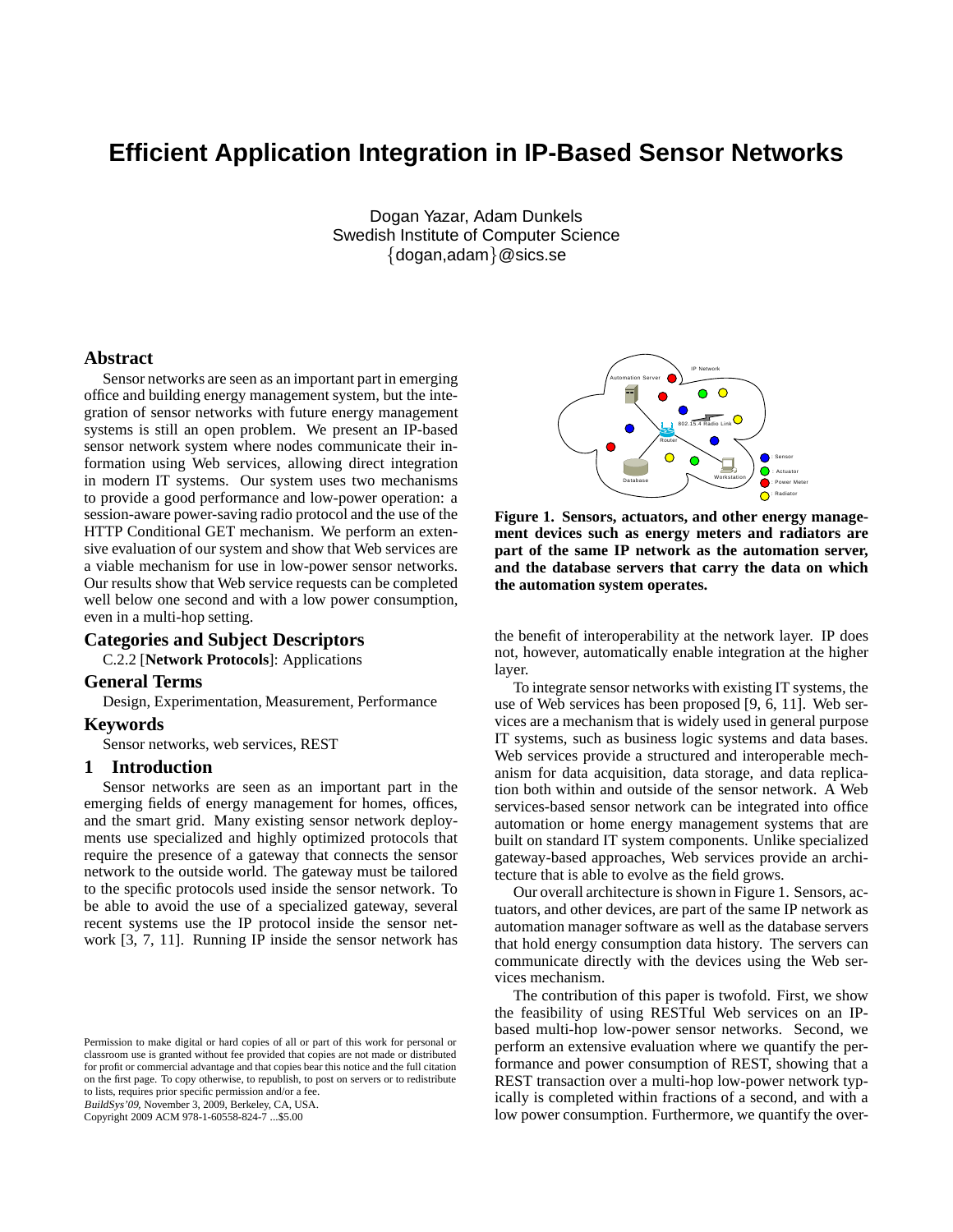# **Efficient Application Integration in IP-Based Sensor Networks**

Dogan Yazar, Adam Dunkels Swedish Institute of Computer Science {dogan,adam}@sics.se

### **Abstract**

Sensor networks are seen as an important part in emerging office and building energy management system, but the integration of sensor networks with future energy management systems is still an open problem. We present an IP-based sensor network system where nodes communicate their information using Web services, allowing direct integration in modern IT systems. Our system uses two mechanisms to provide a good performance and low-power operation: a session-aware power-saving radio protocol and the use of the HTTP Conditional GET mechanism. We perform an extensive evaluation of our system and show that Web services are a viable mechanism for use in low-power sensor networks. Our results show that Web service requests can be completed well below one second and with a low power consumption, even in a multi-hop setting.

# **Categories and Subject Descriptors**

C.2.2 [**Network Protocols**]: Applications

### **General Terms**

Design, Experimentation, Measurement, Performance

# **Keywords**

Sensor networks, web services, REST

### **1 Introduction**

Sensor networks are seen as an important part in the emerging fields of energy management for homes, offices, and the smart grid. Many existing sensor network deployments use specialized and highly optimized protocols that require the presence of a gateway that connects the sensor network to the outside world. The gateway must be tailored to the specific protocols used inside the sensor network. To be able to avoid the use of a specialized gateway, several recent systems use the IP protocol inside the sensor network [3, 7, 11]. Running IP inside the sensor network has

BuildSys'09, November 3, 2009, Berkeley, CA, USA.

Copyright 2009 ACM 978-1-60558-824-7 ...\$5.00



**Figure 1. Sensors, actuators, and other energy management devices such as energy meters and radiators are part of the same IP network as the automation server, and the database servers that carry the data on which the automation system operates.**

the benefit of interoperability at the network layer. IP does not, however, automatically enable integration at the higher layer.

To integrate sensor networks with existing IT systems, the use of Web services has been proposed [9, 6, 11]. Web services are a mechanism that is widely used in general purpose IT systems, such as business logic systems and data bases. Web services provide a structured and interoperable mechanism for data acquisition, data storage, and data replication both within and outside of the sensor network. A Web services-based sensor network can be integrated into office automation or home energy management systems that are built on standard IT system components. Unlike specialized gateway-based approaches, Web services provide an architecture that is able to evolve as the field grows.

Our overall architecture is shown in Figure 1. Sensors, actuators, and other devices, are part of the same IP network as automation manager software as well as the database servers that hold energy consumption data history. The servers can communicate directly with the devices using the Web services mechanism.

The contribution of this paper is twofold. First, we show the feasibility of using RESTful Web services on an IPbased multi-hop low-power sensor networks. Second, we perform an extensive evaluation where we quantify the performance and power consumption of REST, showing that a REST transaction over a multi-hop low-power network typically is completed within fractions of a second, and with a low power consumption. Furthermore, we quantify the over-

Permission to make digital or hard copies of all or part of this work for personal or classroom use is granted without fee provided that copies are not made or distributed for profit or commercial advantage and that copies bear this notice and the full citation on the first page. To copy otherwise, to republish, to post on servers or to redistribute to lists, requires prior specific permission and/or a fee.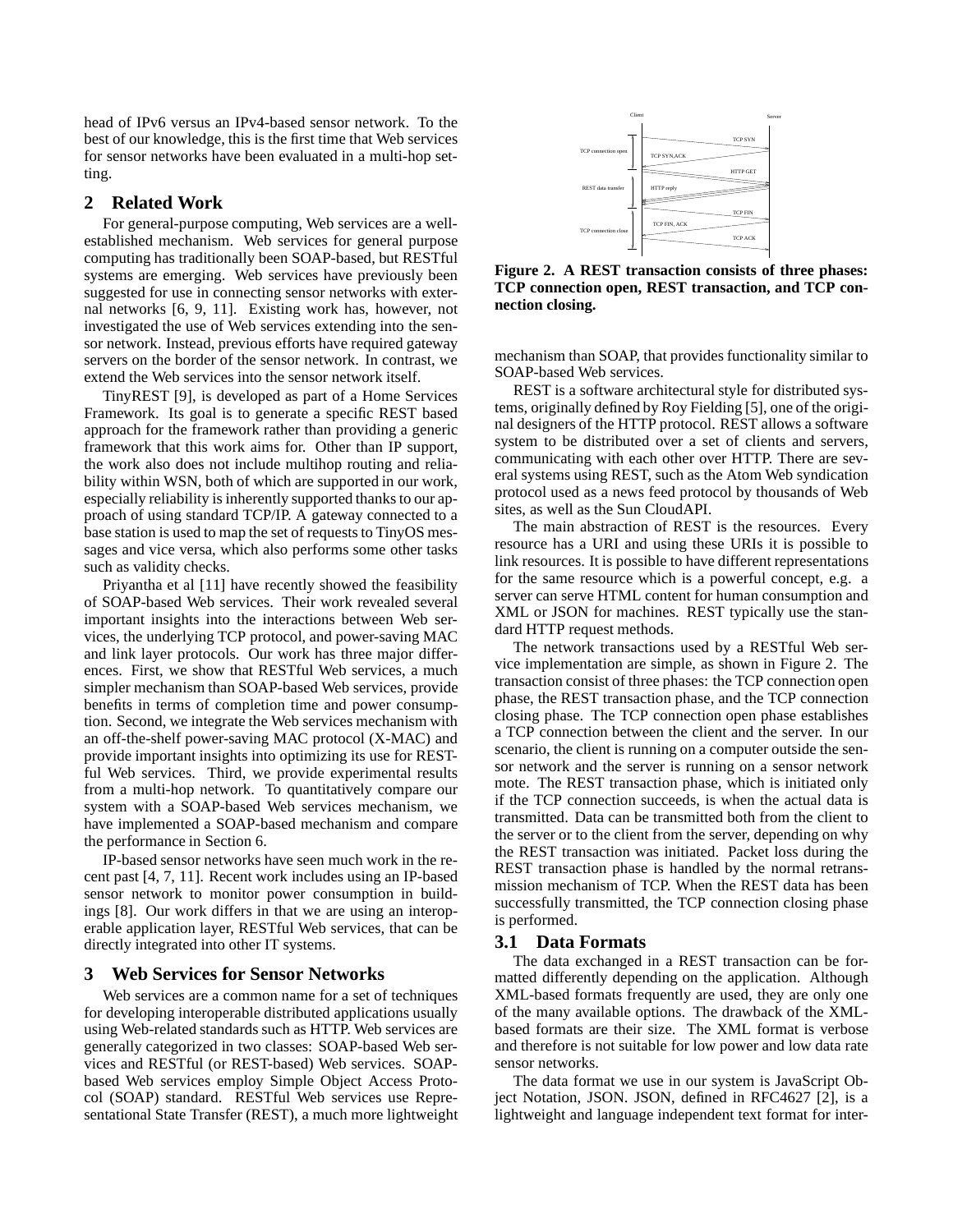head of IPv6 versus an IPv4-based sensor network. To the best of our knowledge, this is the first time that Web services for sensor networks have been evaluated in a multi-hop setting.

### **2 Related Work**

For general-purpose computing, Web services are a wellestablished mechanism. Web services for general purpose computing has traditionally been SOAP-based, but RESTful systems are emerging. Web services have previously been suggested for use in connecting sensor networks with external networks [6, 9, 11]. Existing work has, however, not investigated the use of Web services extending into the sensor network. Instead, previous efforts have required gateway servers on the border of the sensor network. In contrast, we extend the Web services into the sensor network itself.

TinyREST [9], is developed as part of a Home Services Framework. Its goal is to generate a specific REST based approach for the framework rather than providing a generic framework that this work aims for. Other than IP support, the work also does not include multihop routing and reliability within WSN, both of which are supported in our work, especially reliability is inherently supported thanks to our approach of using standard TCP/IP. A gateway connected to a base station is used to map the set of requests to TinyOS messages and vice versa, which also performs some other tasks such as validity checks.

Priyantha et al [11] have recently showed the feasibility of SOAP-based Web services. Their work revealed several important insights into the interactions between Web services, the underlying TCP protocol, and power-saving MAC and link layer protocols. Our work has three major differences. First, we show that RESTful Web services, a much simpler mechanism than SOAP-based Web services, provide benefits in terms of completion time and power consumption. Second, we integrate the Web services mechanism with an off-the-shelf power-saving MAC protocol (X-MAC) and provide important insights into optimizing its use for RESTful Web services. Third, we provide experimental results from a multi-hop network. To quantitatively compare our system with a SOAP-based Web services mechanism, we have implemented a SOAP-based mechanism and compare the performance in Section 6.

IP-based sensor networks have seen much work in the recent past [4, 7, 11]. Recent work includes using an IP-based sensor network to monitor power consumption in buildings [8]. Our work differs in that we are using an interoperable application layer, RESTful Web services, that can be directly integrated into other IT systems.

### **3 Web Services for Sensor Networks**

Web services are a common name for a set of techniques for developing interoperable distributed applications usually using Web-related standards such as HTTP. Web services are generally categorized in two classes: SOAP-based Web services and RESTful (or REST-based) Web services. SOAPbased Web services employ Simple Object Access Protocol (SOAP) standard. RESTful Web services use Representational State Transfer (REST), a much more lightweight



**Figure 2. A REST transaction consists of three phases: TCP connection open, REST transaction, and TCP connection closing.**

mechanism than SOAP, that provides functionality similar to SOAP-based Web services.

REST is a software architectural style for distributed systems, originally defined by Roy Fielding [5], one of the original designers of the HTTP protocol. REST allows a software system to be distributed over a set of clients and servers, communicating with each other over HTTP. There are several systems using REST, such as the Atom Web syndication protocol used as a news feed protocol by thousands of Web sites, as well as the Sun CloudAPI.

The main abstraction of REST is the resources. Every resource has a URI and using these URIs it is possible to link resources. It is possible to have different representations for the same resource which is a powerful concept, e.g. a server can serve HTML content for human consumption and XML or JSON for machines. REST typically use the standard HTTP request methods.

The network transactions used by a RESTful Web service implementation are simple, as shown in Figure 2. The transaction consist of three phases: the TCP connection open phase, the REST transaction phase, and the TCP connection closing phase. The TCP connection open phase establishes a TCP connection between the client and the server. In our scenario, the client is running on a computer outside the sensor network and the server is running on a sensor network mote. The REST transaction phase, which is initiated only if the TCP connection succeeds, is when the actual data is transmitted. Data can be transmitted both from the client to the server or to the client from the server, depending on why the REST transaction was initiated. Packet loss during the REST transaction phase is handled by the normal retransmission mechanism of TCP. When the REST data has been successfully transmitted, the TCP connection closing phase is performed.

#### **3.1 Data Formats**

The data exchanged in a REST transaction can be formatted differently depending on the application. Although XML-based formats frequently are used, they are only one of the many available options. The drawback of the XMLbased formats are their size. The XML format is verbose and therefore is not suitable for low power and low data rate sensor networks.

The data format we use in our system is JavaScript Object Notation, JSON. JSON, defined in RFC4627 [2], is a lightweight and language independent text format for inter-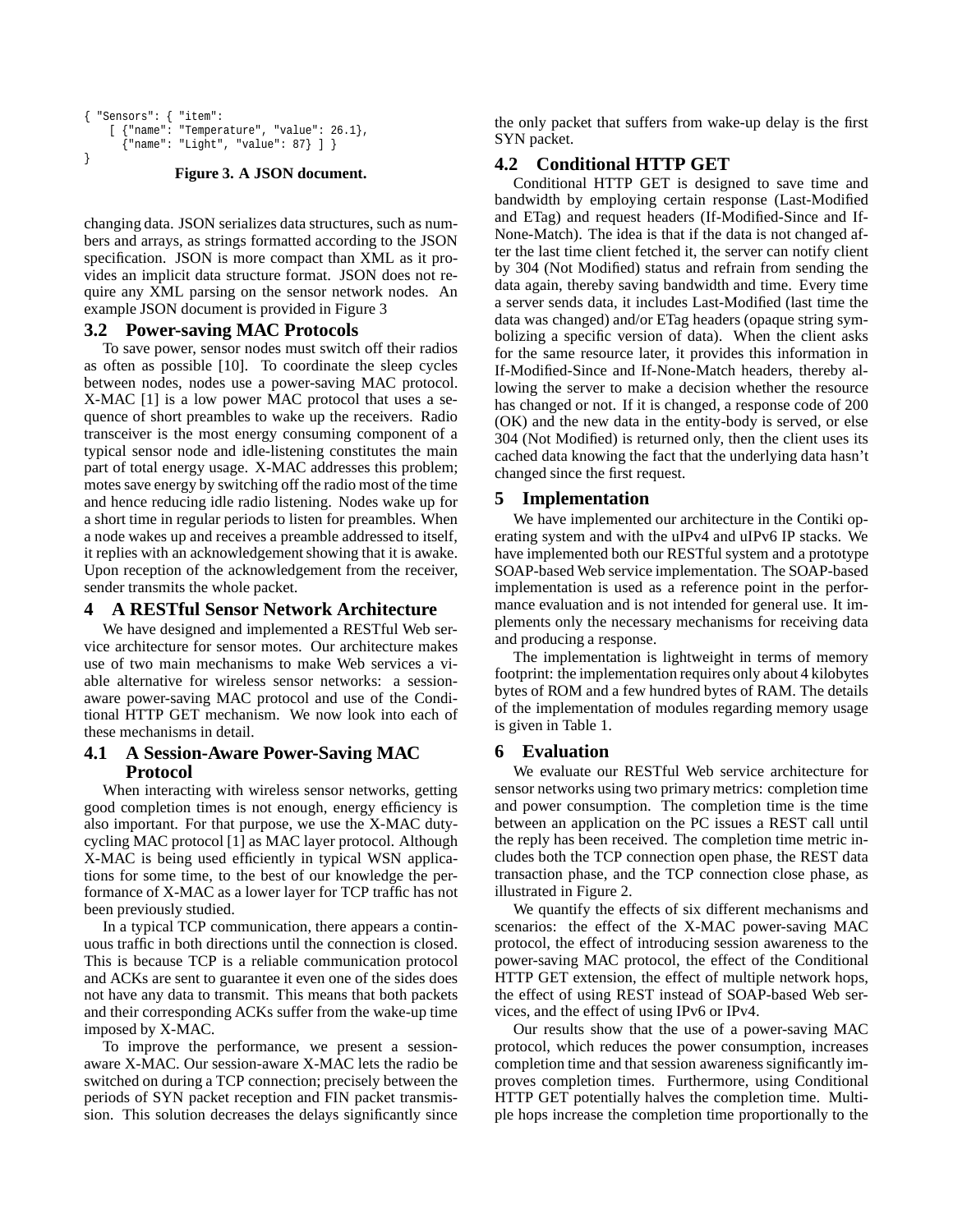```
{ "Sensors": { "item":
    [ {"name": "Temperature", "value": 26.1},
      {"name": "Light", "value": 87} ] }
}
```
#### **Figure 3. A JSON document.**

changing data. JSON serializes data structures, such as numbers and arrays, as strings formatted according to the JSON specification. JSON is more compact than XML as it provides an implicit data structure format. JSON does not require any XML parsing on the sensor network nodes. An example JSON document is provided in Figure 3

# **3.2 Power-saving MAC Protocols**

To save power, sensor nodes must switch off their radios as often as possible [10]. To coordinate the sleep cycles between nodes, nodes use a power-saving MAC protocol. X-MAC [1] is a low power MAC protocol that uses a sequence of short preambles to wake up the receivers. Radio transceiver is the most energy consuming component of a typical sensor node and idle-listening constitutes the main part of total energy usage. X-MAC addresses this problem; motes save energy by switching off the radio most of the time and hence reducing idle radio listening. Nodes wake up for a short time in regular periods to listen for preambles. When a node wakes up and receives a preamble addressed to itself, it replies with an acknowledgement showing that it is awake. Upon reception of the acknowledgement from the receiver, sender transmits the whole packet.

### **4 A RESTful Sensor Network Architecture**

We have designed and implemented a RESTful Web service architecture for sensor motes. Our architecture makes use of two main mechanisms to make Web services a viable alternative for wireless sensor networks: a sessionaware power-saving MAC protocol and use of the Conditional HTTP GET mechanism. We now look into each of these mechanisms in detail.

# **4.1 A Session-Aware Power-Saving MAC Protocol**

When interacting with wireless sensor networks, getting good completion times is not enough, energy efficiency is also important. For that purpose, we use the X-MAC dutycycling MAC protocol [1] as MAC layer protocol. Although X-MAC is being used efficiently in typical WSN applications for some time, to the best of our knowledge the performance of X-MAC as a lower layer for TCP traffic has not been previously studied.

In a typical TCP communication, there appears a continuous traffic in both directions until the connection is closed. This is because TCP is a reliable communication protocol and ACKs are sent to guarantee it even one of the sides does not have any data to transmit. This means that both packets and their corresponding ACKs suffer from the wake-up time imposed by X-MAC.

To improve the performance, we present a sessionaware X-MAC. Our session-aware X-MAC lets the radio be switched on during a TCP connection; precisely between the periods of SYN packet reception and FIN packet transmission. This solution decreases the delays significantly since

the only packet that suffers from wake-up delay is the first SYN packet.

# **4.2 Conditional HTTP GET**

Conditional HTTP GET is designed to save time and bandwidth by employing certain response (Last-Modified and ETag) and request headers (If-Modified-Since and If-None-Match). The idea is that if the data is not changed after the last time client fetched it, the server can notify client by 304 (Not Modified) status and refrain from sending the data again, thereby saving bandwidth and time. Every time a server sends data, it includes Last-Modified (last time the data was changed) and/or ETag headers (opaque string symbolizing a specific version of data). When the client asks for the same resource later, it provides this information in If-Modified-Since and If-None-Match headers, thereby allowing the server to make a decision whether the resource has changed or not. If it is changed, a response code of 200 (OK) and the new data in the entity-body is served, or else 304 (Not Modified) is returned only, then the client uses its cached data knowing the fact that the underlying data hasn't changed since the first request.

# **5 Implementation**

We have implemented our architecture in the Contiki operating system and with the uIPv4 and uIPv6 IP stacks. We have implemented both our RESTful system and a prototype SOAP-based Web service implementation. The SOAP-based implementation is used as a reference point in the performance evaluation and is not intended for general use. It implements only the necessary mechanisms for receiving data and producing a response.

The implementation is lightweight in terms of memory footprint: the implementation requires only about 4 kilobytes bytes of ROM and a few hundred bytes of RAM. The details of the implementation of modules regarding memory usage is given in Table 1.

# **6 Evaluation**

We evaluate our RESTful Web service architecture for sensor networks using two primary metrics: completion time and power consumption. The completion time is the time between an application on the PC issues a REST call until the reply has been received. The completion time metric includes both the TCP connection open phase, the REST data transaction phase, and the TCP connection close phase, as illustrated in Figure 2.

We quantify the effects of six different mechanisms and scenarios: the effect of the X-MAC power-saving MAC protocol, the effect of introducing session awareness to the power-saving MAC protocol, the effect of the Conditional HTTP GET extension, the effect of multiple network hops, the effect of using REST instead of SOAP-based Web services, and the effect of using IPv6 or IPv4.

Our results show that the use of a power-saving MAC protocol, which reduces the power consumption, increases completion time and that session awareness significantly improves completion times. Furthermore, using Conditional HTTP GET potentially halves the completion time. Multiple hops increase the completion time proportionally to the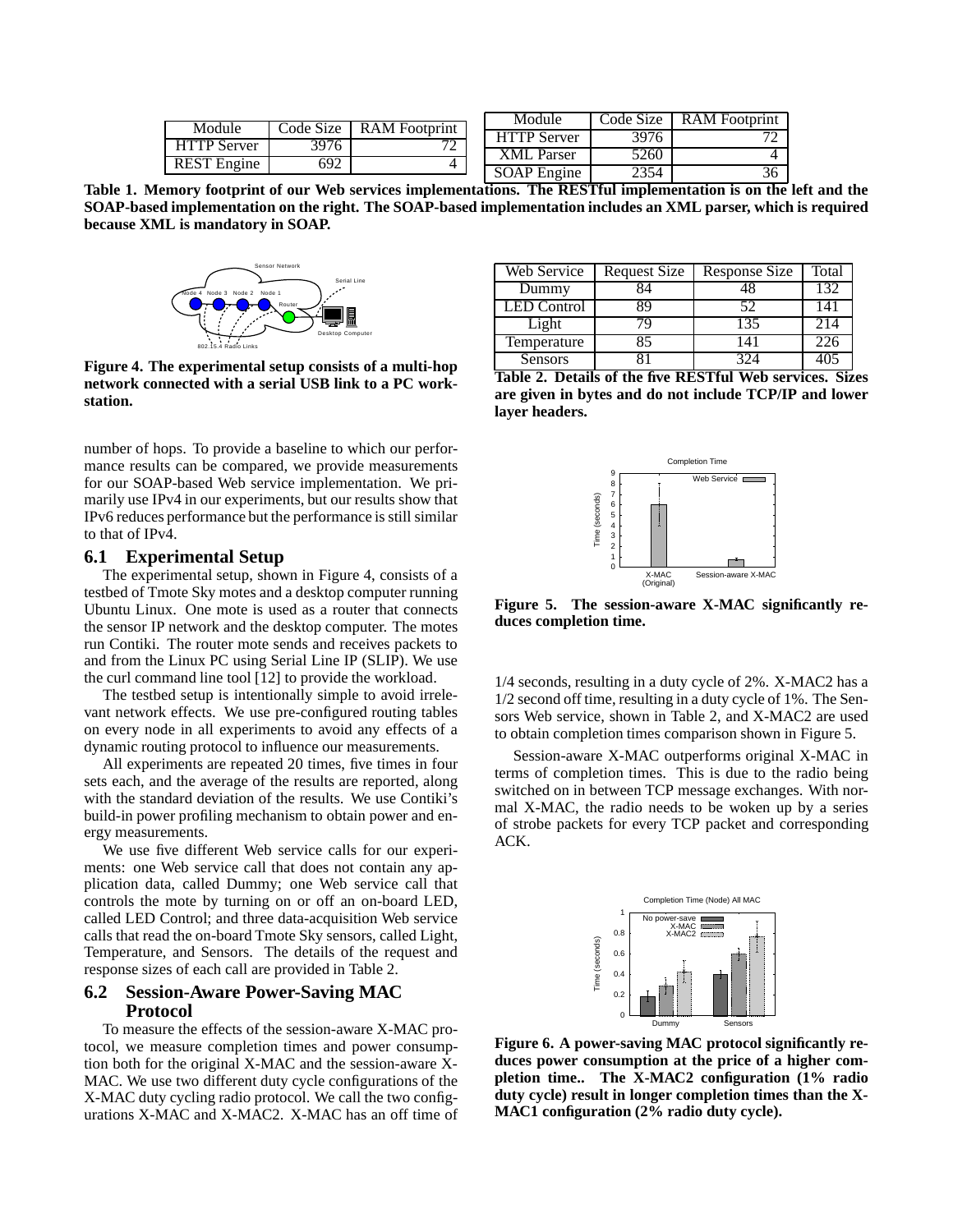| Module             | Code Size 1 | RAM Footprint            | Module             | Code Size | <b>RAM</b> Footprint |
|--------------------|-------------|--------------------------|--------------------|-----------|----------------------|
|                    |             | $\overline{\phantom{a}}$ | <b>HTTP Server</b> | 3976      |                      |
| <b>HTTP Server</b> | 3976        |                          | <b>XML</b> Parser  | 5260      |                      |
| <b>REST Engine</b> | 692         |                          |                    |           |                      |
|                    |             |                          | <b>SOAP</b> Engine | 2354      | 36                   |

**Table 1. Memory footprint of our Web services implementations. The RESTful implementation is on the left and the SOAP-based implementation on the right. The SOAP-based implementation includes an XML parser, which is required because XML is mandatory in SOAP.**



**Figure 4. The experimental setup consists of a multi-hop network connected with a serial USB link to a PC workstation.**

number of hops. To provide a baseline to which our performance results can be compared, we provide measurements for our SOAP-based Web service implementation. We primarily use IPv4 in our experiments, but our results show that IPv6 reduces performance but the performance is still similar to that of IPv4.

#### **6.1 Experimental Setup**

The experimental setup, shown in Figure 4, consists of a testbed of Tmote Sky motes and a desktop computer running Ubuntu Linux. One mote is used as a router that connects the sensor IP network and the desktop computer. The motes run Contiki. The router mote sends and receives packets to and from the Linux PC using Serial Line IP (SLIP). We use the curl command line tool [12] to provide the workload.

The testbed setup is intentionally simple to avoid irrelevant network effects. We use pre-configured routing tables on every node in all experiments to avoid any effects of a dynamic routing protocol to influence our measurements.

All experiments are repeated 20 times, five times in four sets each, and the average of the results are reported, along with the standard deviation of the results. We use Contiki's build-in power profiling mechanism to obtain power and energy measurements.

We use five different Web service calls for our experiments: one Web service call that does not contain any application data, called Dummy; one Web service call that controls the mote by turning on or off an on-board LED, called LED Control; and three data-acquisition Web service calls that read the on-board Tmote Sky sensors, called Light, Temperature, and Sensors. The details of the request and response sizes of each call are provided in Table 2.

### **6.2 Session-Aware Power-Saving MAC Protocol**

To measure the effects of the session-aware X-MAC protocol, we measure completion times and power consumption both for the original X-MAC and the session-aware X-MAC. We use two different duty cycle configurations of the X-MAC duty cycling radio protocol. We call the two configurations X-MAC and X-MAC2. X-MAC has an off time of

| Web Service        | <b>Request Size</b> | Response Size | Total |
|--------------------|---------------------|---------------|-------|
| Dummy              |                     |               | 132   |
| <b>LED</b> Control | Χd                  | 52            | 141   |
| Light              |                     | 135           | 214   |
| Temperature        | 85                  |               | 226   |
| Sensors            |                     | 374           |       |





**Figure 5. The session-aware X-MAC significantly reduces completion time.**

1/4 seconds, resulting in a duty cycle of 2%. X-MAC2 has a 1/2 second off time, resulting in a duty cycle of 1%. The Sensors Web service, shown in Table 2, and X-MAC2 are used to obtain completion times comparison shown in Figure 5.

Session-aware X-MAC outperforms original X-MAC in terms of completion times. This is due to the radio being switched on in between TCP message exchanges. With normal X-MAC, the radio needs to be woken up by a series of strobe packets for every TCP packet and corresponding ACK.



**Figure 6. A power-saving MAC protocol significantly reduces power consumption at the price of a higher completion time.. The X-MAC2 configuration (1% radio duty cycle) result in longer completion times than the X-MAC1 configuration (2% radio duty cycle).**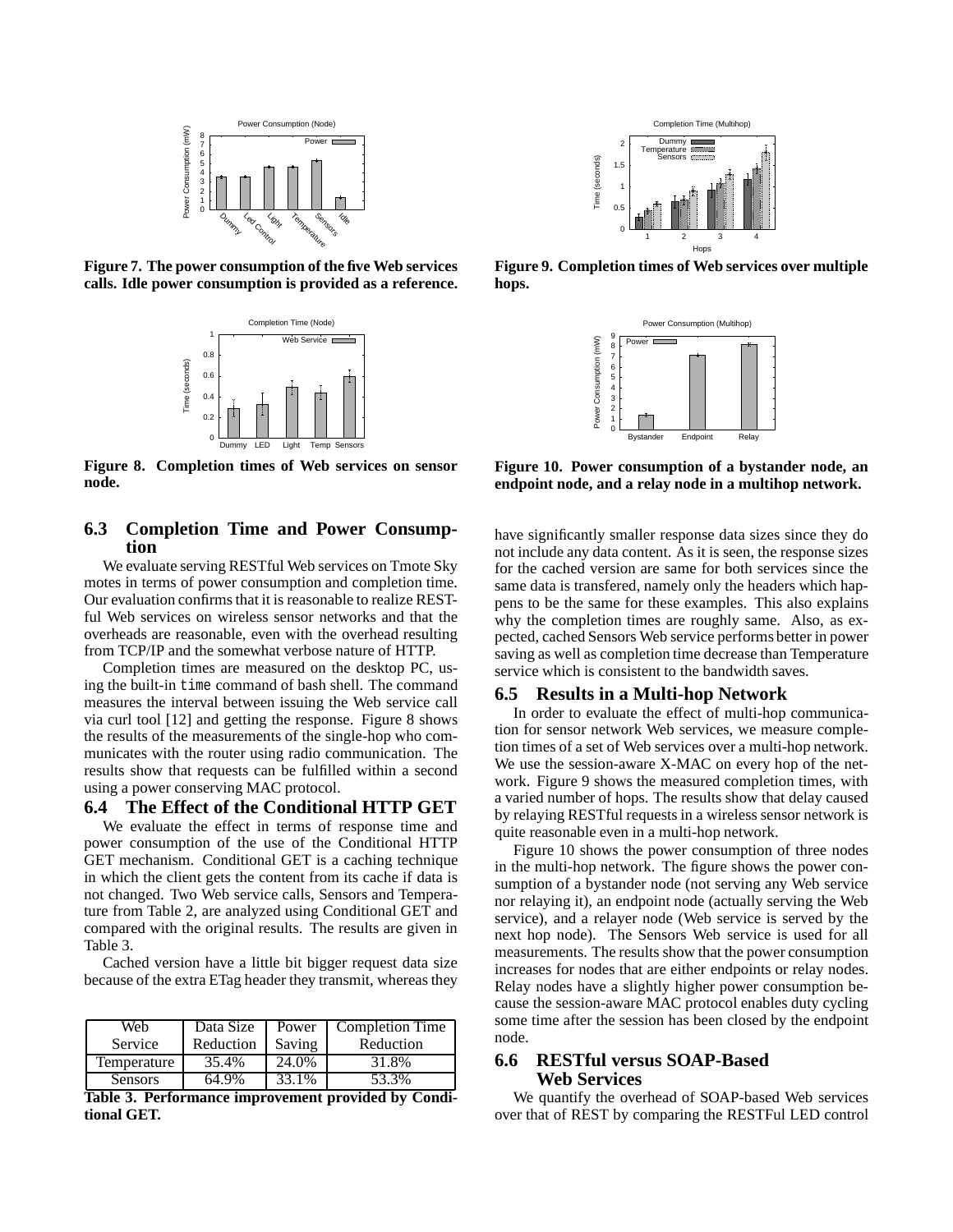

**Figure 7. The power consumption of the five Web services calls. Idle power consumption is provided as a reference.**



**Figure 8. Completion times of Web services on sensor node.**

# **6.3 Completion Time and Power Consumption**

We evaluate serving RESTful Web services on Tmote Sky motes in terms of power consumption and completion time. Our evaluation confirms that it is reasonable to realize RESTful Web services on wireless sensor networks and that the overheads are reasonable, even with the overhead resulting from TCP/IP and the somewhat verbose nature of HTTP.

Completion times are measured on the desktop PC, using the built-in time command of bash shell. The command measures the interval between issuing the Web service call via curl tool [12] and getting the response. Figure 8 shows the results of the measurements of the single-hop who communicates with the router using radio communication. The results show that requests can be fulfilled within a second using a power conserving MAC protocol.

# **6.4 The Effect of the Conditional HTTP GET**

We evaluate the effect in terms of response time and power consumption of the use of the Conditional HTTP GET mechanism. Conditional GET is a caching technique in which the client gets the content from its cache if data is not changed. Two Web service calls, Sensors and Temperature from Table 2, are analyzed using Conditional GET and compared with the original results. The results are given in Table 3.

Cached version have a little bit bigger request data size because of the extra ETag header they transmit, whereas they

| Web            | Data Size | Power  | <b>Completion Time</b> |
|----------------|-----------|--------|------------------------|
| Service        | Reduction | Saving | Reduction              |
| Temperature    | 35.4%     | 24.0%  | 31.8%                  |
| <b>Sensors</b> | 64.9%     | 33.1%  | 53.3%                  |

**Table 3. Performance improvement provided by Conditional GET.**



**Figure 9. Completion times of Web services over multiple hops.**



**Figure 10. Power consumption of a bystander node, an endpoint node, and a relay node in a multihop network.**

have significantly smaller response data sizes since they do not include any data content. As it is seen, the response sizes for the cached version are same for both services since the same data is transfered, namely only the headers which happens to be the same for these examples. This also explains why the completion times are roughly same. Also, as expected, cached Sensors Web service performs better in power saving as well as completion time decrease than Temperature service which is consistent to the bandwidth saves.

#### **6.5 Results in a Multi-hop Network**

In order to evaluate the effect of multi-hop communication for sensor network Web services, we measure completion times of a set of Web services over a multi-hop network. We use the session-aware X-MAC on every hop of the network. Figure 9 shows the measured completion times, with a varied number of hops. The results show that delay caused by relaying RESTful requests in a wireless sensor network is quite reasonable even in a multi-hop network.

Figure 10 shows the power consumption of three nodes in the multi-hop network. The figure shows the power consumption of a bystander node (not serving any Web service nor relaying it), an endpoint node (actually serving the Web service), and a relayer node (Web service is served by the next hop node). The Sensors Web service is used for all measurements. The results show that the power consumption increases for nodes that are either endpoints or relay nodes. Relay nodes have a slightly higher power consumption because the session-aware MAC protocol enables duty cycling some time after the session has been closed by the endpoint node.

# **6.6 RESTful versus SOAP-Based Web Services**

We quantify the overhead of SOAP-based Web services over that of REST by comparing the RESTFul LED control